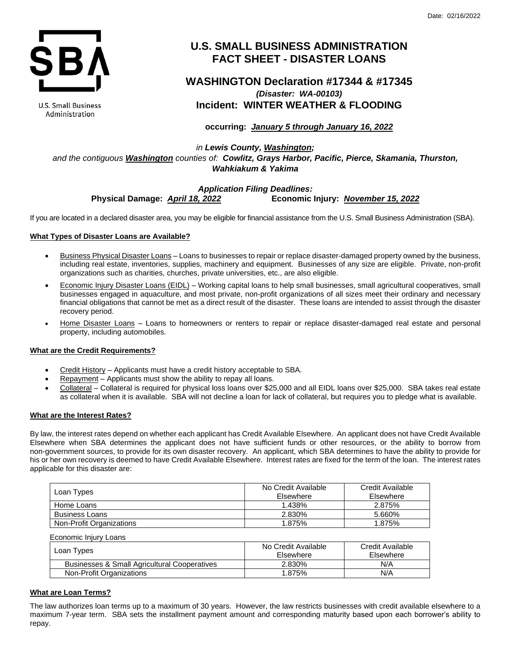

U.S. Small Business Administration

# **U.S. SMALL BUSINESS ADMINISTRATION FACT SHEET - DISASTER LOANS**

# **WASHINGTON Declaration #17344 & #17345** *(Disaster: WA-00103)* **Incident: WINTER WEATHER & FLOODING**

**occurring:** *January 5 through January 16, 2022*

*in Lewis County, Washington; and the contiguous Washington counties of: Cowlitz, Grays Harbor, Pacific, Pierce, Skamania, Thurston, Wahkiakum & Yakima*

# *Application Filing Deadlines:* **Physical Damage:** *April 18, 2022* **Economic Injury:** *November 15, 2022*

If you are located in a declared disaster area, you may be eligible for financial assistance from the U.S. Small Business Administration (SBA).

# **What Types of Disaster Loans are Available?**

- Business Physical Disaster Loans Loans to businesses to repair or replace disaster-damaged property owned by the business, including real estate, inventories, supplies, machinery and equipment. Businesses of any size are eligible. Private, non-profit organizations such as charities, churches, private universities, etc., are also eligible.
- Economic Injury Disaster Loans (EIDL) Working capital loans to help small businesses, small agricultural cooperatives, small businesses engaged in aquaculture, and most private, non-profit organizations of all sizes meet their ordinary and necessary financial obligations that cannot be met as a direct result of the disaster. These loans are intended to assist through the disaster recovery period.
- Home Disaster Loans Loans to homeowners or renters to repair or replace disaster-damaged real estate and personal property, including automobiles.

# **What are the Credit Requirements?**

- Credit History Applicants must have a credit history acceptable to SBA.
- Repayment Applicants must show the ability to repay all loans.
- Collateral Collateral is required for physical loss loans over \$25,000 and all EIDL loans over \$25,000. SBA takes real estate as collateral when it is available. SBA will not decline a loan for lack of collateral, but requires you to pledge what is available.

## **What are the Interest Rates?**

By law, the interest rates depend on whether each applicant has Credit Available Elsewhere. An applicant does not have Credit Available Elsewhere when SBA determines the applicant does not have sufficient funds or other resources, or the ability to borrow from non-government sources, to provide for its own disaster recovery. An applicant, which SBA determines to have the ability to provide for his or her own recovery is deemed to have Credit Available Elsewhere. Interest rates are fixed for the term of the loan. The interest rates applicable for this disaster are:

| Loan Types               | No Credit Available<br>Elsewhere | Credit Available<br>Elsewhere |
|--------------------------|----------------------------------|-------------------------------|
| Home Loans               | 1.438%                           | 2.875%                        |
| <b>Business Loans</b>    | 2.830%                           | 5.660%                        |
| Non-Profit Organizations | 1.875%                           | 1.875%                        |

| Economic Injury Loans                        |                                  |                               |
|----------------------------------------------|----------------------------------|-------------------------------|
| Loan Types                                   | No Credit Available<br>Elsewhere | Credit Available<br>Elsewhere |
| Businesses & Small Agricultural Cooperatives | 2.830%                           | N/A                           |
| Non-Profit Organizations                     | 1.875%                           | N/A                           |

# **What are Loan Terms?**

The law authorizes loan terms up to a maximum of 30 years. However, the law restricts businesses with credit available elsewhere to a maximum 7-year term. SBA sets the installment payment amount and corresponding maturity based upon each borrower's ability to repay.